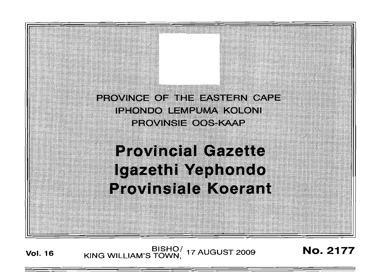

# **Provincial Cazatta** Igazethi Yephondo Provinsiale Koerant

**Vol. <sup>16</sup>** BISHO/ KING WILLIAM'S TOWN, <sup>17</sup> AUGUST <sup>2009</sup> No. 2177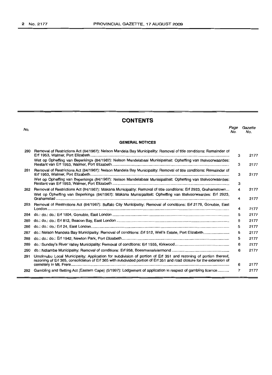# **CONTENTS**

| No. |                                                                                                                                                                                                                                           | Page<br>No. | Gazette<br>No. |
|-----|-------------------------------------------------------------------------------------------------------------------------------------------------------------------------------------------------------------------------------------------|-------------|----------------|
|     | <b>GENERAL NOTICES</b>                                                                                                                                                                                                                    |             |                |
| 280 | Removal of Restrictions Act (84/1967): Nelson Mandela Bay Municipality: Removal of title conditions: Remainder of                                                                                                                         | 3           | 2177           |
|     | Wet op Opheffing van Beperkings (84/1967): Nelson Mandelabaai Munisipaliteit: Opheffing van titelvoorwaardes:                                                                                                                             | 3           | 2177           |
| 281 | Removal of Restrictions Act (84/1967): Nelson Mandela Bay Municipality: Removal of title conditions: Remainder of                                                                                                                         | 3           | 2177           |
|     | Wet op Opheffing van Beperkings (84/1967): Nelson Mandelabaai Munisipaliteit: Opheffing van titelvoorwaardes:                                                                                                                             | з           |                |
| 282 | Removal of Restrictions Act (84/1967): Makana Municipality: Removal of title conditions: Erf 2923, Grahamstown<br>Wet op Opheffing van Beperkings (84/1967): Makana Munisipaliteit: Opheffing van titelvoorwaardes: Erf 2923,             | 4           | 2177           |
|     |                                                                                                                                                                                                                                           | 4           | 2177           |
| 283 | Removal of Restrictions Act (84/1967): Buffalo City Municipality: Removal of conditions: Erf 2178, Gonubie, East                                                                                                                          | 4           | 2177           |
| 284 |                                                                                                                                                                                                                                           | 5           | 2177           |
| 285 |                                                                                                                                                                                                                                           | 5           | 2177           |
| 286 |                                                                                                                                                                                                                                           | 5           | 2177           |
| 287 |                                                                                                                                                                                                                                           | 5           | 2177           |
| 288 |                                                                                                                                                                                                                                           | 5           | 2177           |
| 289 |                                                                                                                                                                                                                                           | 6           | 2177           |
| 290 |                                                                                                                                                                                                                                           | 6           | 2177           |
| 291 | Umzimubu Local Municipality: Application for subdivision of portion of Erf 351 and rezoning of portion thereof.<br>rezoning of Erf 365, consolidation of Erf 365 with subdivided portion of Erf 351 and road closure for the extension of |             |                |
|     |                                                                                                                                                                                                                                           | 6           | 2177           |
|     | 292 Gambling and Betting Act (Eastern Cape) (5/1997): Lodgement of application in respect of gambling licence                                                                                                                             | 7           | 2177           |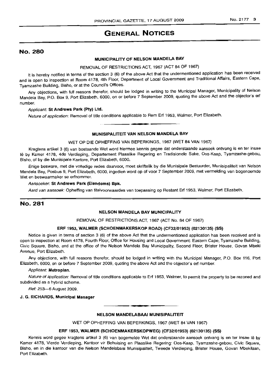# GENERAL NOTICES

# No. 280

# MUNICIPALITY OF NELSON MANDELA BAY

# REMOVAL OF RESTRICTIONS ACT, 1967 (ACT 84 OF 1967)

It is hereby notified in terms of the section 3 (6) of the above Act that the undermentioned application has been received and is open to inspection at Room 4178, 4th Floor, Department of Local Government and Traditional Affairs, Eastern Cape, Tyamzashe Building, Bisho, or at the Council's Offices.

Any objections, with full reasons therefor, should be lodged in writing to the Municipal Manager, Municipality of Nelson Mandela Bay, P.O. Box 9, Port Elizabeth, 6000, on or before 7 September 2009, quoting the above Act and the objector's erf number.

#### Applicant: St Andrews Park (Pty) Ltd.

Nature of application: Removal of title conditions applicable to Rem Erf 1953, Walmer, Port Elizabeth.

# **•** MUNISIPALITEIT VAN NELSON MANDELA BAY

## WET OP DIE OPHEFFING VAN BEPERKINGS, 1967 (WET 84 VAN 1967)

Kragtens artikel 3 (6) van bostaande Wet word hiermee kennis gegee dat onderstaande aansoek ontvang is en ter insae 1ê by Kamer 4178, 4de Verdieping, Departement Plaaslike Regering en Tradisionele Sake, Oos-Kaap, Tyamzashe-gebou, Bisho, of by die Munisipale Kantore, Port Elizabeth, 6000.

Enige besware, met die volledige redes daarvoor, moet skriftelik by die Munisipale Bestuurder, Munisipaliteit van Nelson Mandela Bay, Posbus 9, Port Elizabeth, 6000, ingedien word op of voor 7 September 2009, met vermelding van bogenoemde Wet en beswaarmaker se erfnommer.

#### Aansoeker: St Andrews Park (Eiendoms) Bpk.

Aard van aansoek: Opheffing van titelvoorwaardes van toepassing op Restant Erf 1953, Walmer, Port Elizabeth.

# No. 281

#### NELSON MANDELA BAY MUNICIPALITY

REMOVAL OF RESTRICTIONS ACT, 1967 (ACT No. 84 OF 1967)

#### ERF 1953, WALMER (SCHOENMAKERSKOP ROAD) (CF32/01953) (02130135) (SS)

Notice is given in terms of section 3 (6) of the above Act that the undermentioned application has been received and is open to inspection at Room 4178, Fourth Floor, Office for Housing and Local Government: Eastern Cape, Tyamzashe Building, Civic Square, Bisho, and at the office of the Nelson Mandela Bay Municipality, Second Floor, Brister House, Govan Mbeki Avenue, Port Elizabeth.

Any objections, with full reasons therefor, should be lodged in writing with the Municipal Manager, P.O. Box 116, Port Elizabeth, 6000, on or before 7 September 2009, quoting the above Act and the objector's erf number.

#### Applicant: Metroplan.

Nature of application: Removal of title conditions applicable to Erf 1953, Walmer, to permit the property to be rezoned and subdivided as a hybrid scheme.

Ref: 253-6 August 2009.

#### J. G. RICHARDS, Municipal Manager

**•** NELSON MANDELABAAI MUNISIPALITEIT

WET OP OPHEFFING VAN BEPERKINGS, 1967 (WET 84 VAN 1967)

## ERF 1953, WALMER (SCHOENMAKERSKOPWEG) (CF32/01953) (02130135) (SS)

Kennis word gegee kragtens artikel 3 (6) van bogemelde Wet dat onderstaande aansoek ontvang is en ter insae lê by Kamer 4178, Vierde Verdieping, Kantoor vir Behuising en Plaaslike Regering: Oos-Kaap, Tyamzashe-gebou, Civic Square, Bisho, en in die kantoor van die Nelson Mandelabaai Munisipaliteit, Tweede Verdieping, Brister House, Govan Mbekilaan, Port Elizabeth.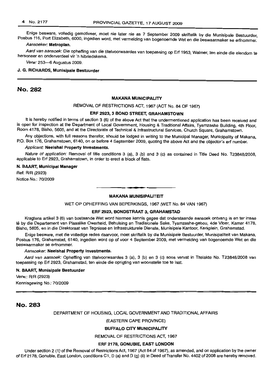Enige besware, volledig gemotiveer, moet nie later nie as 7 September 2009 skriftelik by die Munisipale Bestuurder, Posbus 116, Port Elizabeth, 6000, ingedien word, met vermelding van bogenoemde Wet en die beswaarmaker se erfnommer.

#### Aansoeker: Metroplan.

Aard van aansoek: Die opheffing van die titelvoorwaardes van toepassing op Erf 1953, Walmer, ten einde die eiendom te hersoneer en onderverdeel vir 'n hibriedskema.

Verw: 253-6 Augustus 2009.

#### J. G. RICHARDS, Munisipale Bestuurder

# No. 282

#### MAKANA MUNICIPALITY

# REMOVAL OF RESTRICTIONS ACT, 1967 (ACT No. 84 OF 1967)

#### ERF 2923, 3 BOND STREET, GRAHAMSTOWN

It is hereby notified in terms of section 3 (6) of the above Act that the undermentioned application has been received and is open for inspection at the Department of Local Government, Housing & Traditional Affairs, Tyamzashe Building, 4th Floor, Room 4178, Bisho, 5605, and at the Directorate of Technical & Infrastructural Services, Church Square, Grahamstown.

Any objections, with full reasons therefor, should be lodged in writing to the Municipal Manager, Municipality of Makana, P.O. Box 176, Grahamstown, 6140, on or before 4 September 2009, quoting the above Act and the objector's erf number.

#### Applicant: Neelshal Property Investments.

Nature of application: Removal of title conditions 3 (a), 3 (b) and 3 (c) as contained in Title Deed No. T23848/2008. applicable to Erf 2923, Grahamstown, in order to erect a block of flats.

#### N. BAART, Municipal Manager

Ref: R/R (2923) Notice No.: 70/2009

# **•** MAKANA MUNISIPALITEIT

WET OP OPHEFFING VAN BEPERKINGS, 1967 (WET No. 84 VAN 1967)

#### ERF 2923, BONDSTRAAT 3, GRAHAMSTAD

Kragtens artikel 3 (6) van bostaande Wet word hiermee kennis gegee dat onderstaande aansoek ontvang is en ter insae Ie by die Departement van Plaaslike Owerheid, Behuising en Tradisionele Sake, Tyamzashe-gebou, 4de Vloer, Kamer 4178, Bisho, 5605, en in die Direktoraat van Tegniese en Infrastrukturele Dienste, Munisipale Kantoor, Kerkplein, Grahamstad.

Enige besware, met die volledige redes daarvoor, moet skriftelik by die Munisipale Bestuurder, Munisipaliteit van Makana, Posbus 176, Grahamstad, 6140, ingedien word op of voor 4 September 2009, met vermelding van bogenoemde Wet en die beswaarmaker se erfnommer.

#### Aansoeker: Neelshal Property Investments.

Aard van aansoek: Opheffing van titelvoorwaardes 3 (a), 3 (b) en 3 (c) soos vervat in Titelakte No. T23848/2008 van toepassing op Erf 2923, Grahamstad, ten einde die oprigting van woonstelle toe te laat.

#### N. BAART, Munisipale Bestuurder

Verw.: R/R (2923) Kennisgewing No.: 70/2009

No. 283

DEPARTMENT OF HOUSING, LOCAL GOVERNMENT AND TRADITIONAL AFFAIRS

(EASTERN CAPE PROVINCE)

#### BUFFALO CITY MUNICIPALITY

REMOVAL OF RESTRICTIONS ACT, 1967

#### ERF 2178, GONUBIE, EAST LONDON

Under section 2 (1) of the Removal of Restrictions Act, 1967 (Act 84 of 1967), as amended, and on application by the owner of Erf 2178, Gonubie, East London, conditions C1, D (a) and D (g) (ii) in Deed of Transfer No. 4402 of 2008 are hereby removed.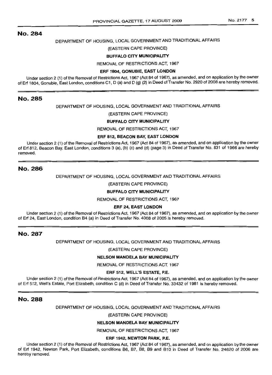# DEPARTMENT OF HOUSING, LOCAL GOVERNMENT AND TRADITIONAL AFFAIRS

(EASTERN CAPE PROVINCE)

## BUFFALO CITY MUNICIPALITY

REMOVAL OF RESTRICTIONS ACT, 1967

#### ERF 1804, GONUBIE, EAST LONDON

Under section 2 (1) of the Removal of Restrictions Act, 1967 (Act 84 of 1967), as amended, and on application by the owner of Erf 1804, Gonubie, East London, conditions C1, D (a) and D (g) (2) in Deed of Transfer No. 2920 of 2008 are hereby removed.

# No. 285

DEPARTMENT OF HOUSING, LOCAL GOVERNMENT AND TRADITIONAL AFFAIRS

#### (EASTERN CAPE PROVINCE)

#### BUFFALO CITY MUNICIPALITY

REMOVAL OF RESTRICTIONS ACT, 1967

#### ERF 812, BEACON BAY, EAST LONDON

Under section 2 (1) of the Removal of Restrictions Act, 1967 (Act 84 of 1967), as amended, and on application by the owner of Erf 812, Beacon Bay, East London, conditions 3 (a), (b) (c) and (d) (page 3) in Deed of Transfer No. 831 of 1966 are hereby removed.

## No. 286

DEPARTMENT OF HOUSING, LOCAL GOVERNMENT AND TRADITIONAL AFFAIRS

(EASTERN CAPE PROVINCE)

#### BUFFALO CITY MUNICIPALITY

REMOVAL OF RESTRICTIONS ACT, 1967

#### ERF 24, EAST LONDON

Under section 2 (1) of the Removal of Restrictions Act, 1967 (Act 84 of 1967), as amended, and on application by the owner of Erf 24, East London, condition B4 (a) in Deed of Transfer No. 4008 of 2005 is hereby removed.

# No. 287

DEPARTMENT OF HOUSING, LOCAL GOVERNMENT AND TRADITIONAL AFFAIRS

(EASTERN CAPE PROVINCE)

#### NELSON MANDELA BAY MUNICIPALITY

REMOVAL OF RESTRICTIONS ACT, 1967

#### ERF 512, WELL'S ESTATE, P.E.

Under section 2 (1) of the Removal of Restrictions Act, 1967 (Act 84 of 1967), as amended, and on application by the owner of Erf 512, Well's Estate, Port Elizabeth, condition C (d) in Deed of Transfer No. 33432 of 1981 is hereby removed.

## No. 288

DEPARTMENT OF HOUSING, LOCAL GOVERNMENT AND TRADITIONAL AFFAIRS

(EASTERN CAPE PROVINCE)

#### NELSON MANOELA BAY MUNICIPALITY

REMOVAL OF RESTRICTIONS ACT, 1967

#### ERF 1942, NEWTON PARK, P.E.

Under section 2 (1) of the Removal of Restrictions Act, 1967 (Act 84 of 1967), as amended, and on application by the owner of Erf 1942, Newton Park, Port Elizabeth, conditions B6, B7, B8, B9 and B10 in Deed of Transfer No. 24620 of 2006 are hereby removed.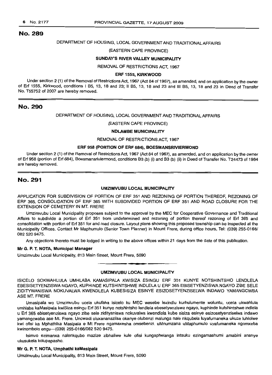## DEPARTMENT OF HOUSING, LOCAL GOVERNMENT AND TRADITIONAL AFFAIRS

#### (EASTERN CAPE PROVINCE)

## SUNDAY'S RIVER VALLEY MUNICIPALITY

#### REMOVAL OF RESTRICTIONS ACT, 1967

#### ERF 1555, KIRKWOOD

Under section 2 (1) of the Removal of Restrictions Act, 1967 (Act 84 of 1967), as amended, and on application by the owner of Erf 1555, Kirkwood, conditions I B5, 13, 18 and 23; II B5, 13, 18 and 23 and III B5, 13, 18 and 23 in Deed of Transfer No. T55752 of 2007 are hereby removed.

## No. 290

#### DEPARTMENT OF HOUSING, LOCAL GOVERNMENT AND TRADITIONAL AFFAIRS

#### (EASTERN CAPE PROVINCE)

#### NDLAMBE MUNICIPALITY

#### REMOVAL OF RESTRICTIONS ACT, 1967

#### ERF 958 (PORTION OF ERF 684), BOESMANSRIVIERMOND

Under section 2 (1) ofthe Removal of Restrictions Act, 1967 (Act 84 of 1967), as amended, and on application by the owner of Erf 958 (portion of Erf 684), Boesmansriviermond, conditions B3 (b) (i) and B3 (b) (ii) in Deed of Transfer No. T24473 of 1984 are hereby removed.

# No. 291

#### UMZIMVUBU LOCAL MUNICIPALITY

APPLICATION FOR SUBDIVISION OF PORTION OF ERF 351 AND REZONING OF PORTION THEREOF, REZONING OF ERF 365, CONSOLIDATION OF ERF 365 WITH SUBDIVIDED PORTION OF ERF 351 AND ROAD CLOSURE FOR THE EXTENSION OF CEMETERY IN MT. FRERE

Umzimvubu Local Municipality proposes subject to the approval by the MEC for Cooperative Governance and Traditional Affairs to subdivide a portion of Erf 351 from undetermined and rezoning of portion thereof rezoning of Erf 365 and consolidation with portion of Erf 351 for and road closure. Layout plans showlnq this proposed township can be inspected at the Municipality Offices. Contact Mr Maphumulo (Senior Town Planner) in Mount Frere, during office hours, Tel: (039) 255-0166/ 082 520 9475.

Any objections thereto must be lodged in writing to the above offices within 21 days from the date of this publication.

#### Mr G. P. T. NOTA, Municipal Manager

Umzimvubu Local Municipality, 813 Main Street, Mount Frere, 5090

#### UMZIMVUBU LOCAL MUNICIPALITY

ISICELO SOKWAHLULA UMHLABA KAMASIPALA KWISIZA ESINGU ERF 351 KUNYE NOTSHINTSHO LENDLELA EBESISETYENZISWA NGAYO, KUPHINDE KUTSHINTSHWE INDLELA U ERF 365 EBISETYENZISWA NGAYO ZIBE SELE ZIDITYWANISWA NOKUVALWA KWENDLELA KUBESISIZA ESINYE ESIZOSETYENZISELWA INDAWO YAMANGCWBA ASE MT. FRERE

Umasipala wo Umzimvubu ucela ukufaka isicelo ku MEC wesebe lezindlu kurhulumente woluntu, ucela ukwahlula umhlaba kaMasipala kwiSiza esingu Erf 351 kunye notshintsho lendlela ebesetyenziswa ngayo, kuphinde kutshintshwe indlela u Erf 365 ebisetyenziswa ngayo zibe sele zidityaniswa nokuvalwa kwendlela kube sisiza esinye esizosetyenziselwa indawo yamangcwaba ase Mt. Frere. Uncwadi oluxananazilsa okanye olubanzi malunga nale nkqubela luyafumaneka ukuze luhlolwe kwi ofisi ka Mphathika Masipala e Mt Frere ngamaxesha omsebenzi. uMnumzana uMaphumulo uyafumaneka ngomxeba kwinombolo engu-(039) 255-0166/082 520 9475.

Isimvo ezimanxa nalenkqubo mazize zibhaliwe kule otisi kungaphelanga intsuku ezingamashumi amabini ananye ukusukela kolupapasho.

#### Mr G. P. T. NOTA, Umphathi kaMasipala

Umzimvubu Local Municipality, 813 Main Street, Mount Frere, 5090